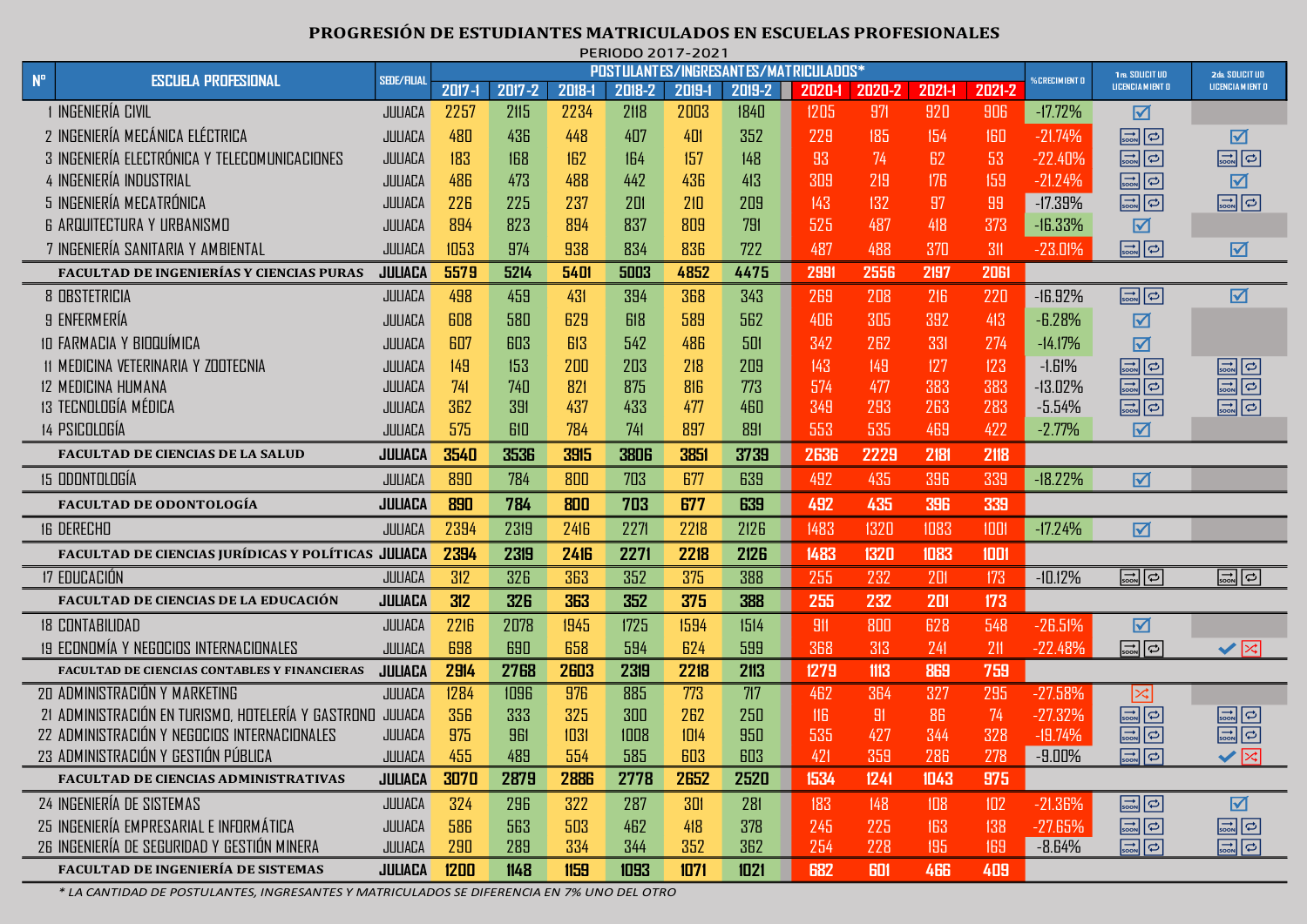## **PROGRESIÓN DE ESTUDIANTES MATRICULADOS EN ESCUELAS PROFESIONALES** PERIODO 2017-2021

|             |                                                            |                    | PCRIUDU ZUTI-ZUZ<br><b>POSTULANTES/INGRESANTES/MATRICULADOS*</b> |             |             |        |        |             |        |        |            |        |                      |                                           |                                                              |
|-------------|------------------------------------------------------------|--------------------|------------------------------------------------------------------|-------------|-------------|--------|--------|-------------|--------|--------|------------|--------|----------------------|-------------------------------------------|--------------------------------------------------------------|
| $N^{\circ}$ | <b>ESCUELA PROFESIONAL</b>                                 | <b>SEDE/FILIAL</b> | $2017 - 1$                                                       | 2017-2      | 2018-1      | 2018-2 | 2019-1 | 2019-2      | 2020-1 | 2020-2 | 2021-1     | 2021-2 | <b>%CRECIMIENT O</b> | 1ra. SOLICIT UD<br>LICENCIA MIENT O       | 2da, SOLICIT UD<br>LICENCIA MIENT D                          |
|             | 1 INGENIERÍA CIVIL                                         | JULIACA            | 2257                                                             | 2115        | 2234        | 2118   | 2003   | 1840        | 1205   | 971    | 920        | 906    | $-17.72\%$           | ☑                                         |                                                              |
|             | 2 INGENIERÍA MECÁNICA ELÉCTRICA                            | JULIACA            | 480                                                              | 436         | 448         | 407    | 401    | 352         | 229    | 185    | 154        | 160    | $-21.74%$            | $\Rightarrow$                             | ☑                                                            |
|             | 3 INGENIERÍA ELECTRÓNICA Y TELECOMUNICACIONES              | JULIACA            | 183                                                              | 168         | 162         | 164    | 157    | 148         | 93     | 74     | 62         | 53     | $-22.40%$            | $\boxed{\frac{1}{\text{Sook}}$            | $\Rightarrow$                                                |
|             | 4 INGENIERÍA INDUSTRIAL                                    | JULIACA            | 486                                                              | 473         | 488         | 442    | 436    | 413         | 309    | 219    | 176        | 159    | $-21.24%$            | $\Rightarrow$                             | ☑                                                            |
|             | 5 INGENIERÍA MECATRÓNICA                                   | JULIACA            | 226                                                              | 225         | 237         | 201    | 210    | 209         | 143    | 132    | 97         | 99     | $-17.39%$            | $\Rightarrow$ $\Rightarrow$               | $\Rightarrow$                                                |
|             | <b>6 ARQUITECTURA Y URBANISMO</b>                          | JULIACA            | 894                                                              | 823         | 894         | 837    | 809    | 791         | 525    | 487    | 418        | 373    | $-16.33%$            | ☑                                         |                                                              |
|             | 7 INGENIERÍA SANITARIA Y AMBIENTAL                         | JULIACA            | 1053                                                             | 974         | 938         | 834    | 836    | 722         | 487    | 488    | 370        | 311    | $-23.01%$            | $\boxed{\frac{\rightarrow}{\text{SODN}}}$ | ☑                                                            |
|             | <b>FACULTAD DE INGENIERÍAS Y CIENCIAS PURAS</b>            | <b>JULIACA</b>     | 5579                                                             | 5214        | 5401        | 5003   | 4852   | 4475        | 299    | 2556   | 2197       | 2061   |                      |                                           |                                                              |
|             | 8 OBSTETRICIA                                              | JULIACA            | 498                                                              | 459         | 431         | 394    | 368    | 343         | 269    | 208    | 216        | 220    | $-16.92%$            | $\boxed{\frac{1}{\text{Soon}}\boxed{1}}$  | $\overline{\mathbf{M}}$                                      |
|             | 9 ENFERMERÍA                                               | JULIACA            | 608                                                              | 580         | 629         | 618    | 589    | 562         | 406    | 305    | 392        | 413    | $-6.28%$             | ☑                                         |                                                              |
|             | 10 FARMACIA Y BIOQUÍMICA                                   | JULIACA            | 607                                                              | 603         | 613         | 542    | 486    | 501         | 342    | 262    | 331        | 274    | $-14.17%$            | ☑                                         |                                                              |
|             | 11 MEDICINA VETERINARIA Y ZOOTECNIA                        | JULIACA            | 149                                                              | 153         | 200         | 203    | 218    | 209         | 143    | 149    | 127        | 123    | $-1.61%$             | $\Rightarrow$                             | $\Rightarrow$                                                |
|             | <b>12 MEDICINA HUMANA</b>                                  | JULIACA            | 741                                                              | 740         | 821         | 875    | 816    | 773         | 574    | 477    | 383        | 383    | $-13.02%$            | $\Rightarrow$                             | $\Rightarrow$                                                |
|             | 13 TECNOLOGÍA MÉDICA                                       | JULIACA            | 362                                                              | 391         | 437         | 433    | 477    | 460         | 349    | 293    | 263        | 283    | $-5.54%$             | $\Rightarrow$                             | $\Rightarrow$                                                |
|             | 14 PSICOLOGÍA                                              | JULIACA            | 575                                                              | 610         | 784         | 741    | 897    | 891         | 553    | 535    | 469        | 422    | $-2.77%$             | ☑                                         |                                                              |
|             | <b>FACULTAD DE CIENCIAS DE LA SALUD</b>                    | JULIACA            | 3540                                                             | <b>3536</b> | 3915        | 3806   | 3851   | 3739        | 2636   | 2229   | 2181       | 2118   |                      |                                           |                                                              |
|             | <b>15 ODONTOLOGÍA</b>                                      | JULIACA            | 890                                                              | 784         | 800         | 703    | 677    | 639         | 492    | 435    | 396        | 339    | $-18.22%$            | 冈                                         |                                                              |
|             | <b>FACULTAD DE ODONTOLOGÍA</b>                             | <b>JULIACA</b>     | 890                                                              | 784         | 800         | 703    | 677    | 639         | 492    | 435    | 396        | 339    |                      |                                           |                                                              |
|             | <b>16 DERECHO</b>                                          | JULIACA            | 2394                                                             | 2319        | 2416        | 2271   | 2218   | 2126        | 1483   | 1320   | 1083       | 1001   | $-17.24%$            | ☑                                         |                                                              |
|             | FACULTAD DE CIENCIAS JURÍDICAS Y POLÍTICAS JULIACA         |                    | 2394                                                             | 2319        | <b>2416</b> | 2271   | 2218   | <b>2126</b> | 1483   | 1320   | 1083       | 1001   |                      |                                           |                                                              |
|             | 17 EDUCACIÓN                                               | JULIACA            | 312                                                              | 326         | 363         | 352    | 375    | 388         | 255    | 232    | 201        | 173    | $-10.12%$            | $\boxed{\frac{1}{\text{soon}}}$           | $\boxed{\frac{1}{\text{Sook}}}$                              |
|             | <b>FACULTAD DE CIENCIAS DE LA EDUCACIÓN</b>                | <b>JULIACA</b>     | 312                                                              | <b>326</b>  | 363         | 352    | 375    | 388         | 255    | 232    | 201        | 173    |                      |                                           |                                                              |
|             | <b>18 CONTABILIDAD</b>                                     | JULIACA            | 2216                                                             | 2078        | 1945        | 1725   | 1594   | 1514        | 911    | 800    | 628        | 548    | $-26.51%$            | $\boxtimes$                               |                                                              |
|             | 19 ECONOMÍA Y NEGOCIOS INTERNACIONALES                     | JULIACA            | 698                                                              | 690         | 658         | 594    | 624    | 599         | 368    | 313    | 241        | 211    | $-22.48%$            | $\boxed{\frac{1}{\text{soon}}}$           | $\blacktriangledown$                                         |
|             | <b>FACULTAD DE CIENCIAS CONTABLES Y FINANCIERAS</b>        | <b>JULIACA</b>     | 2914                                                             | <b>2768</b> | 2603        | 2319   | 2218   | 2113        | 1279   | 1113   | 869        | 759    |                      |                                           |                                                              |
|             | 20 ADMINISTRACIÓN Y MARKETING                              | JULIACA            | 1284                                                             | 1096        | 976         | 885    | 773    | 717         | 462    | 364    | 327        | 295    | $-27.58%$            | $ \mathsf{x} $                            |                                                              |
|             | 21 ADMINISTRACIÓN EN TURISMO, HOTELERÍA Y GASTRONO JULIACA |                    | 356                                                              | 333         | 325         | 300    | 262    | 250         | 116    | 91     | 86         | 74     | $-27.32%$            | $\Rightarrow$                             | $\boxed{\frac{1}{\text{Soon}}\boxed{\frac{1}{\text{col}}}}$  |
|             | 22 ADMINISTRACIÓN Y NEGOCIOS INTERNACIONALES               | JULIACA            | 975                                                              | 961         | 1031        | 1008   | 1014   | 950         | 535    | 427    | 344        | 328    | $-19.74%$            | $\Rightarrow$                             | $\boxed{\frac{\rightarrow}{\text{soon}}}$                    |
|             | 23 ADMINISTRACION Y GESTION PUBLICA                        | JULIACA            | 455                                                              | 489         | 554         | 585    | 603    | 603         | 421    | -359   | 286        | 278    | -9.00%               | $\Rightarrow$                             | $\blacktriangledown$                                         |
|             | FACULTAD DE CIENCIAS ADMINISTRATIVAS                       | <b>JULIACA</b>     | 3070                                                             | 2879        | 2886        | 2778   | 2652   | 2520        | 1534   | 1241   | 1043       | 975    |                      |                                           |                                                              |
|             | 24 INGENIERÍA DE SISTEMAS                                  | JULIACA            | 324                                                              | 296         | 322         | 287    | 301    | 281         | 183    | 148    | 108        | 102    | $-21.36%$            | $\Rightarrow$ $\Rightarrow$               | ☑                                                            |
|             | 25 INGENIERÍA EMPRESARIAL E INFORMÁTICA                    | JULIACA            | 586                                                              | 563         | 503         | 462    | 418    | 378         | 245    | 225    | 163        | 138    | $-27.65%$            | $\Rightarrow$                             | $\Rightarrow$                                                |
|             | 26 INGENIERÍA DE SEGURIDAD Y GESTIÓN MINERA                | JULIACA            | 290                                                              | 289         | 334         | 344    | 352    | 362         | 254    | 228    | 195        | 169    | $-8.64%$             | $\Rightarrow$                             | $\boxed{\frac{\rightarrow}{\text{Soon}}\boxed{\rightarrow}}$ |
|             | FACULTAD DE INGENIERÍA DE SISTEMAS                         | <b>JULIACA</b>     | 1200                                                             | 1148        | 1159        | 1093   | 1071   | 1021        | 682    | 601    | <b>466</b> | 409    |                      |                                           |                                                              |

*\* LA CANTIDAD DE POSTULANTES, INGRESANTES Y MATRICULADOS SE DIFERENCIA EN 7% UNO DEL OTRO*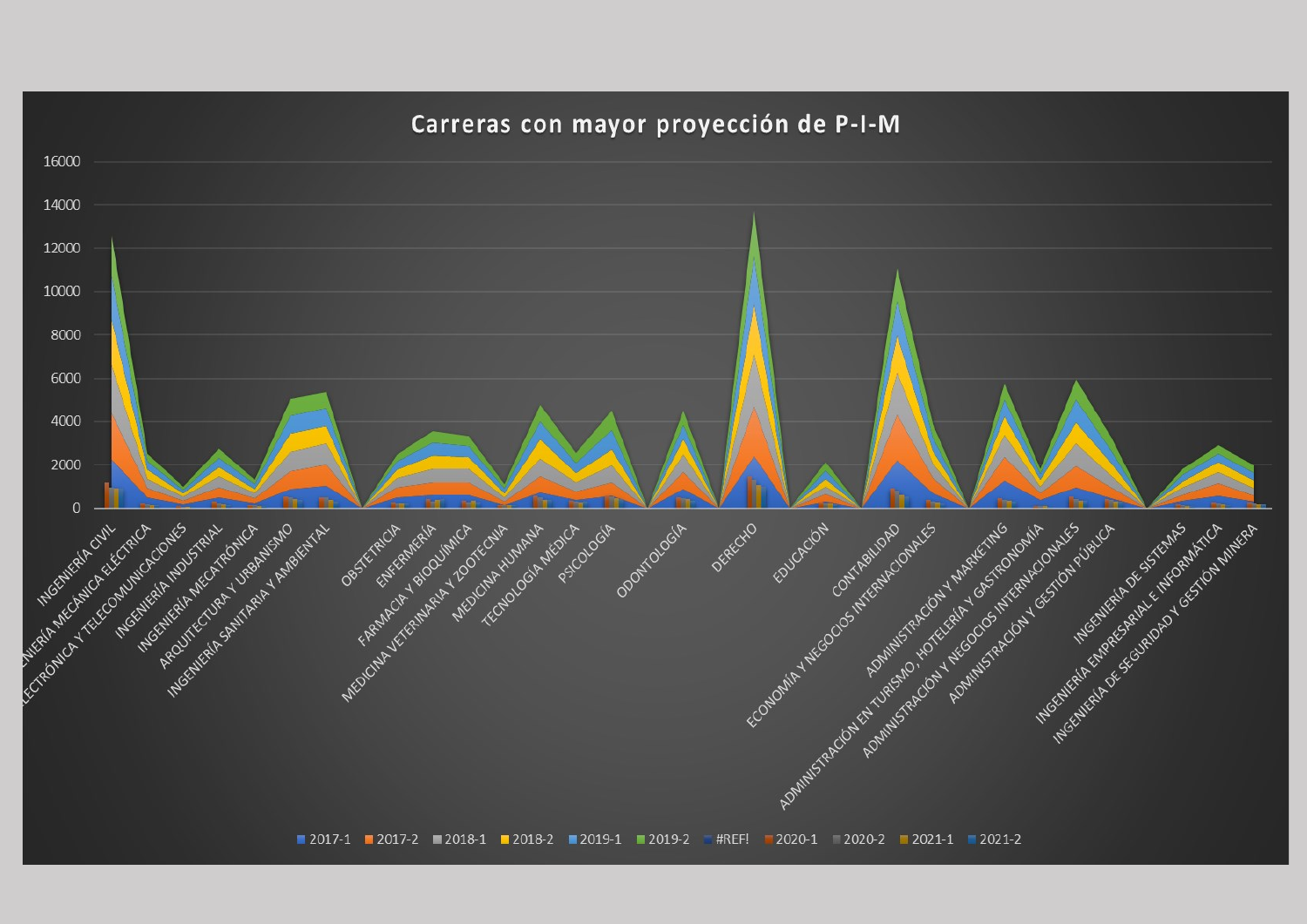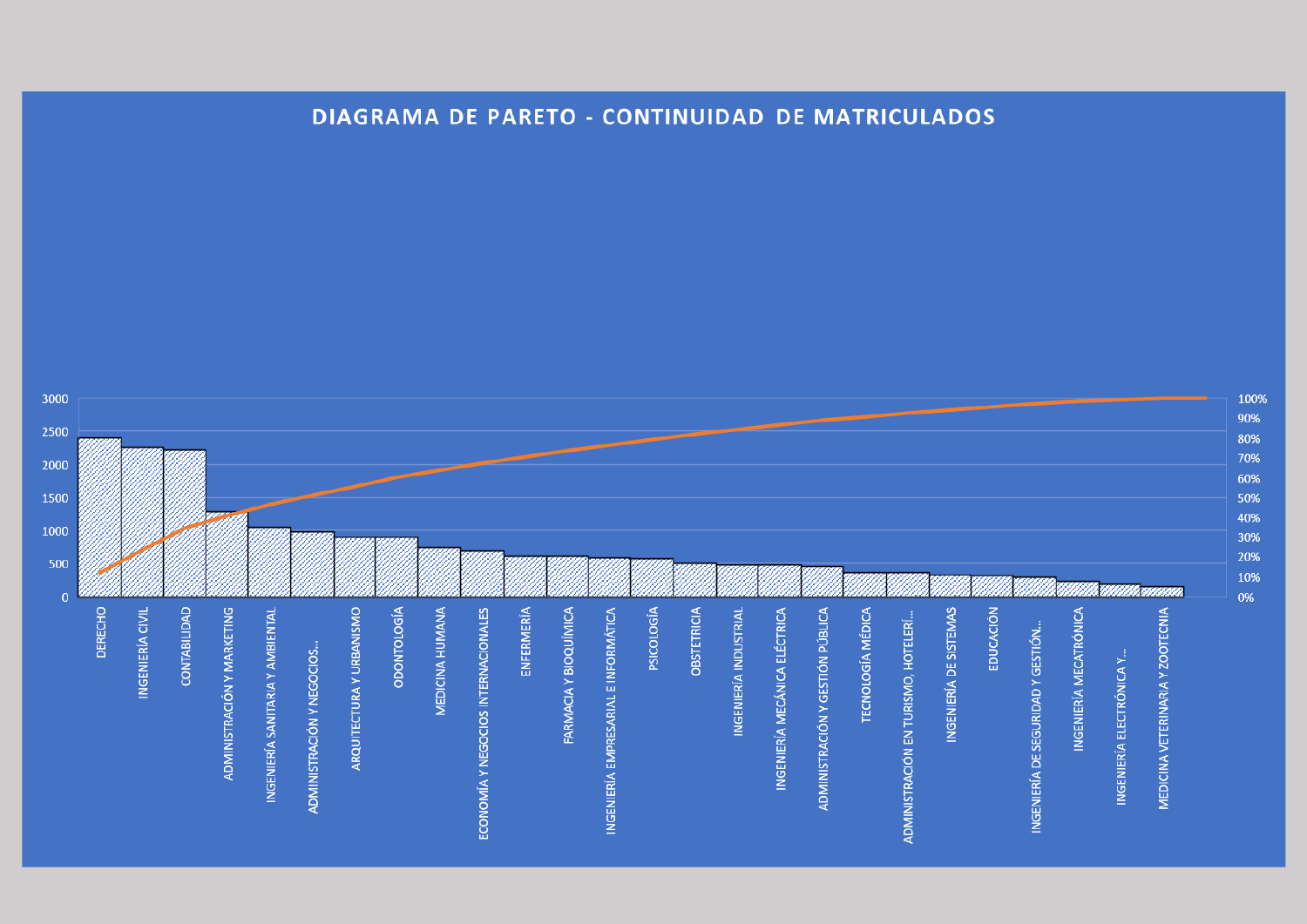

## **DIAGRAMA DE PARETO - CONTINUIDAD DE MATRICULADOS**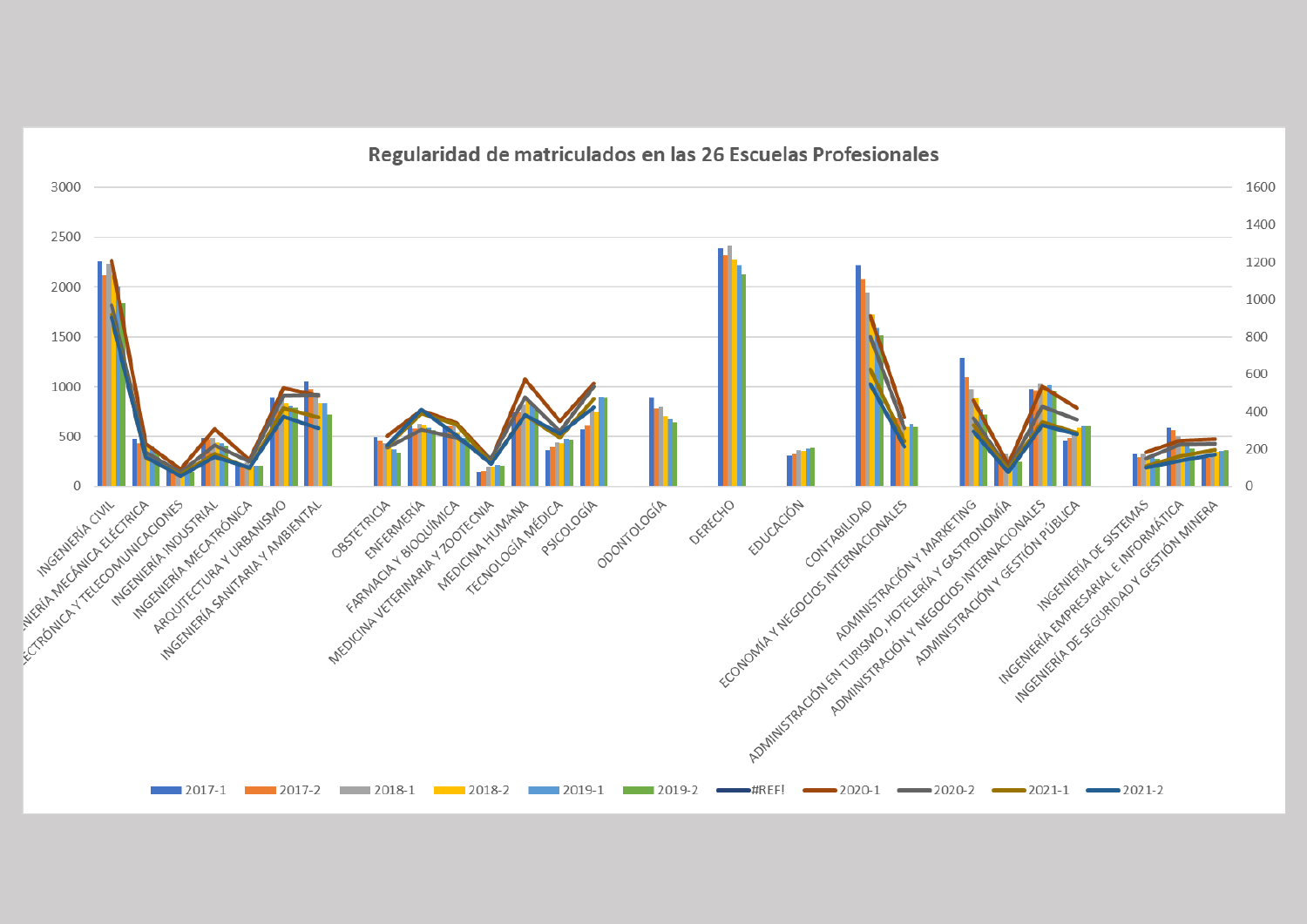

Regularidad de matriculados en las 26 Escuelas Profesionales